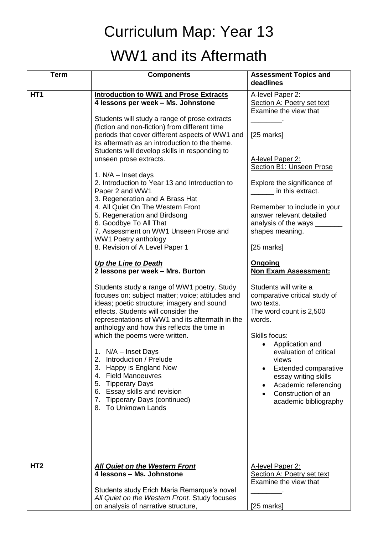## Curriculum Map: Year 13 WW1 and its Aftermath

| <b>Term</b>     | <b>Components</b>                                                                                                                                                                                                                                                                                                                                                                                                                                                                                                                          | <b>Assessment Topics and</b><br>deadlines                                                                                                                                                                                                                                                               |
|-----------------|--------------------------------------------------------------------------------------------------------------------------------------------------------------------------------------------------------------------------------------------------------------------------------------------------------------------------------------------------------------------------------------------------------------------------------------------------------------------------------------------------------------------------------------------|---------------------------------------------------------------------------------------------------------------------------------------------------------------------------------------------------------------------------------------------------------------------------------------------------------|
| HT <sub>1</sub> | <b>Introduction to WW1 and Prose Extracts</b><br>4 lessons per week - Ms. Johnstone                                                                                                                                                                                                                                                                                                                                                                                                                                                        | A-level Paper 2:<br>Section A: Poetry set text<br>Examine the view that                                                                                                                                                                                                                                 |
|                 | Students will study a range of prose extracts<br>(fiction and non-fiction) from different time<br>periods that cover different aspects of WW1 and<br>its aftermath as an introduction to the theme.<br>Students will develop skills in responding to                                                                                                                                                                                                                                                                                       | [25 marks]                                                                                                                                                                                                                                                                                              |
|                 | unseen prose extracts.                                                                                                                                                                                                                                                                                                                                                                                                                                                                                                                     | A-level Paper 2:<br><b>Section B1: Unseen Prose</b>                                                                                                                                                                                                                                                     |
|                 | 1. $N/A$ – Inset days<br>2. Introduction to Year 13 and Introduction to<br>Paper 2 and WW1<br>3. Regeneration and A Brass Hat<br>4. All Quiet On The Western Front<br>5. Regeneration and Birdsong<br>6. Goodbye To All That<br>7. Assessment on WW1 Unseen Prose and<br><b>WW1 Poetry anthology</b>                                                                                                                                                                                                                                       | Explore the significance of<br>in this extract.<br>Remember to include in your<br>answer relevant detailed<br>analysis of the ways __<br>shapes meaning.                                                                                                                                                |
|                 | 8. Revision of A Level Paper 1<br>Up the Line to Death<br>2 lessons per week - Mrs. Burton                                                                                                                                                                                                                                                                                                                                                                                                                                                 | [25 marks]<br><b>Ongoing</b><br><b>Non Exam Assessment:</b>                                                                                                                                                                                                                                             |
|                 | Students study a range of WW1 poetry. Study<br>focuses on: subject matter; voice; attitudes and<br>ideas; poetic structure; imagery and sound<br>effects. Students will consider the<br>representations of WW1 and its aftermath in the<br>anthology and how this reflects the time in<br>which the poems were written.<br>1. N/A – Inset Days<br>2. Introduction / Prelude<br>3. Happy is England Now<br>4. Field Manoeuvres<br>5. Tipperary Days<br>6. Essay skills and revision<br>7. Tipperary Days (continued)<br>8. To Unknown Lands | Students will write a<br>comparative critical study of<br>two texts.<br>The word count is 2,500<br>words.<br>Skills focus:<br>Application and<br>evaluation of critical<br>views<br>Extended comparative<br>essay writing skills<br>Academic referencing<br>Construction of an<br>academic bibliography |
| HT <sub>2</sub> | <b>All Quiet on the Western Front</b><br>4 lessons - Ms. Johnstone                                                                                                                                                                                                                                                                                                                                                                                                                                                                         | A-level Paper 2:<br>Section A: Poetry set text<br>Examine the view that                                                                                                                                                                                                                                 |
|                 | Students study Erich Maria Remarque's novel<br>All Quiet on the Western Front. Study focuses<br>on analysis of narrative structure,                                                                                                                                                                                                                                                                                                                                                                                                        | [25 marks]                                                                                                                                                                                                                                                                                              |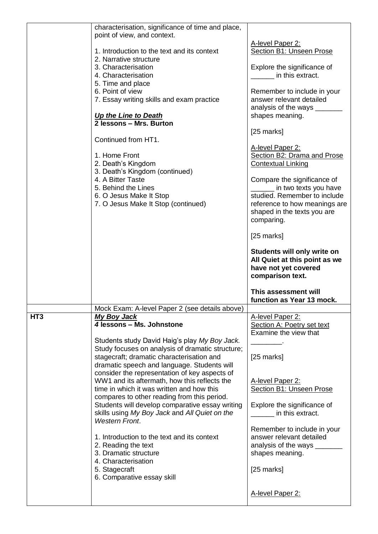|                 | characterisation, significance of time and place,<br>point of view, and context.          |                                                      |
|-----------------|-------------------------------------------------------------------------------------------|------------------------------------------------------|
|                 |                                                                                           |                                                      |
|                 | 1. Introduction to the text and its context                                               | A-level Paper 2:<br>Section B1: Unseen Prose         |
|                 | 2. Narrative structure                                                                    |                                                      |
|                 | 3. Characterisation                                                                       |                                                      |
|                 |                                                                                           | Explore the significance of<br>in this extract.      |
|                 | 4. Characterisation                                                                       |                                                      |
|                 | 5. Time and place                                                                         |                                                      |
|                 | 6. Point of view                                                                          | Remember to include in your                          |
|                 | 7. Essay writing skills and exam practice                                                 | answer relevant detailed                             |
|                 |                                                                                           | analysis of the ways _______                         |
|                 | Up the Line to Death<br>2 lessons - Mrs. Burton                                           | shapes meaning.                                      |
|                 |                                                                                           |                                                      |
|                 | Continued from HT1.                                                                       | [25 marks]                                           |
|                 |                                                                                           | A-level Paper 2:                                     |
|                 | 1. Home Front                                                                             | Section B2: Drama and Prose                          |
|                 |                                                                                           |                                                      |
|                 | 2. Death's Kingdom<br>3. Death's Kingdom (continued)                                      | <b>Contextual Linking</b>                            |
|                 | 4. A Bitter Taste                                                                         |                                                      |
|                 | 5. Behind the Lines                                                                       | Compare the significance of<br>in two texts you have |
|                 | 6. O Jesus Make It Stop                                                                   | studied. Remember to include                         |
|                 | 7. O Jesus Make It Stop (continued)                                                       | reference to how meanings are                        |
|                 |                                                                                           | shaped in the texts you are                          |
|                 |                                                                                           |                                                      |
|                 |                                                                                           | comparing.                                           |
|                 |                                                                                           | $[25$ marks]                                         |
|                 |                                                                                           |                                                      |
|                 |                                                                                           | Students will only write on                          |
|                 |                                                                                           | All Quiet at this point as we                        |
|                 |                                                                                           |                                                      |
|                 |                                                                                           | have not yet covered                                 |
|                 |                                                                                           | comparison text.                                     |
|                 |                                                                                           |                                                      |
|                 |                                                                                           | This assessment will                                 |
|                 |                                                                                           | function as Year 13 mock.                            |
|                 | Mock Exam: A-level Paper 2 (see details above)                                            |                                                      |
| HT <sub>3</sub> | <b>My Boy Jack</b>                                                                        | A-level Paper 2:                                     |
|                 | 4 lessons - Ms. Johnstone                                                                 | Section A: Poetry set text                           |
|                 |                                                                                           | Examine the view that                                |
|                 | Students study David Haig's play My Boy Jack.                                             |                                                      |
|                 | Study focuses on analysis of dramatic structure;                                          |                                                      |
|                 | stagecraft; dramatic characterisation and                                                 | $[25$ marks]                                         |
|                 | dramatic speech and language. Students will                                               |                                                      |
|                 | consider the representation of key aspects of                                             |                                                      |
|                 | WW1 and its aftermath, how this reflects the<br>time in which it was written and how this | A-level Paper 2:                                     |
|                 | compares to other reading from this period.                                               | Section B1: Unseen Prose                             |
|                 | Students will develop comparative essay writing                                           | Explore the significance of                          |
|                 | skills using My Boy Jack and All Quiet on the                                             | in this extract.                                     |
|                 | <b>Western Front.</b>                                                                     |                                                      |
|                 |                                                                                           | Remember to include in your                          |
|                 | 1. Introduction to the text and its context                                               | answer relevant detailed                             |
|                 | 2. Reading the text                                                                       | analysis of the ways ______                          |
|                 | 3. Dramatic structure                                                                     | shapes meaning.                                      |
|                 | 4. Characterisation                                                                       |                                                      |
|                 | 5. Stagecraft                                                                             | $[25$ marks]                                         |
|                 | 6. Comparative essay skill                                                                |                                                      |
|                 |                                                                                           |                                                      |
|                 |                                                                                           | A-level Paper 2:                                     |